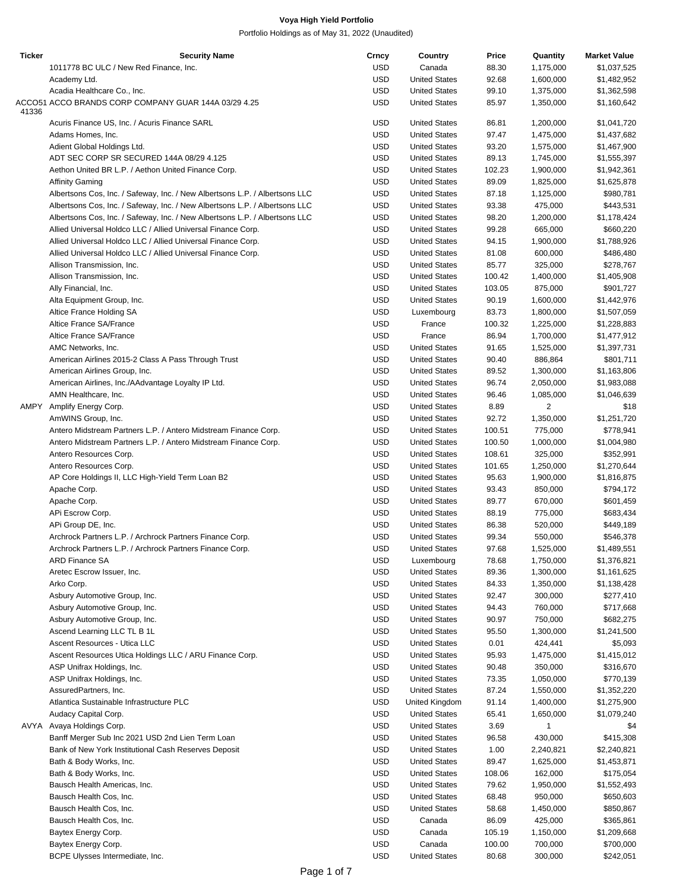| <b>Ticker</b> | <b>Security Name</b>                                                        | Crncy      | Country              | Price  | Quantity     | <b>Market Value</b> |
|---------------|-----------------------------------------------------------------------------|------------|----------------------|--------|--------------|---------------------|
|               | 1011778 BC ULC / New Red Finance, Inc.                                      | <b>USD</b> | Canada               | 88.30  | 1,175,000    | \$1,037,525         |
|               | Academy Ltd.                                                                | <b>USD</b> | <b>United States</b> | 92.68  | 1,600,000    | \$1,482,952         |
|               | Acadia Healthcare Co., Inc.                                                 | <b>USD</b> | <b>United States</b> | 99.10  | 1,375,000    | \$1,362,598         |
|               | ACCO51 ACCO BRANDS CORP COMPANY GUAR 144A 03/29 4.25                        | <b>USD</b> | <b>United States</b> | 85.97  | 1,350,000    | \$1,160,642         |
| 41336         |                                                                             |            |                      |        |              |                     |
|               | Acuris Finance US, Inc. / Acuris Finance SARL                               | <b>USD</b> | <b>United States</b> | 86.81  | 1,200,000    | \$1,041,720         |
|               | Adams Homes, Inc.                                                           | <b>USD</b> | <b>United States</b> | 97.47  | 1,475,000    | \$1,437,682         |
|               | Adient Global Holdings Ltd.                                                 | <b>USD</b> | <b>United States</b> | 93.20  | 1,575,000    | \$1,467,900         |
|               | ADT SEC CORP SR SECURED 144A 08/29 4.125                                    | <b>USD</b> | <b>United States</b> | 89.13  | 1,745,000    | \$1,555,397         |
|               | Aethon United BR L.P. / Aethon United Finance Corp.                         | <b>USD</b> | <b>United States</b> | 102.23 | 1,900,000    | \$1,942,361         |
|               | <b>Affinity Gaming</b>                                                      | <b>USD</b> | <b>United States</b> | 89.09  | 1,825,000    | \$1,625,878         |
|               | Albertsons Cos, Inc. / Safeway, Inc. / New Albertsons L.P. / Albertsons LLC | <b>USD</b> | <b>United States</b> | 87.18  | 1,125,000    | \$980,781           |
|               | Albertsons Cos, Inc. / Safeway, Inc. / New Albertsons L.P. / Albertsons LLC | <b>USD</b> | <b>United States</b> | 93.38  | 475,000      | \$443,531           |
|               | Albertsons Cos, Inc. / Safeway, Inc. / New Albertsons L.P. / Albertsons LLC | USD        | <b>United States</b> | 98.20  | 1,200,000    | \$1,178,424         |
|               |                                                                             |            |                      |        |              |                     |
|               | Allied Universal Holdco LLC / Allied Universal Finance Corp.                | <b>USD</b> | <b>United States</b> | 99.28  | 665,000      | \$660,220           |
|               | Allied Universal Holdco LLC / Allied Universal Finance Corp.                | <b>USD</b> | <b>United States</b> | 94.15  | 1,900,000    | \$1,788,926         |
|               | Allied Universal Holdco LLC / Allied Universal Finance Corp.                | <b>USD</b> | <b>United States</b> | 81.08  | 600,000      | \$486,480           |
|               | Allison Transmission, Inc.                                                  | <b>USD</b> | <b>United States</b> | 85.77  | 325,000      | \$278,767           |
|               | Allison Transmission, Inc.                                                  | <b>USD</b> | <b>United States</b> | 100.42 | 1,400,000    | \$1,405,908         |
|               | Ally Financial, Inc.                                                        | <b>USD</b> | <b>United States</b> | 103.05 | 875,000      | \$901,727           |
|               | Alta Equipment Group, Inc.                                                  | <b>USD</b> | <b>United States</b> | 90.19  | 1,600,000    | \$1,442,976         |
|               | Altice France Holding SA                                                    | <b>USD</b> | Luxembourg           | 83.73  | 1,800,000    | \$1,507,059         |
|               | Altice France SA/France                                                     | <b>USD</b> | France               | 100.32 | 1,225,000    | \$1,228,883         |
|               | Altice France SA/France                                                     | <b>USD</b> | France               | 86.94  | 1,700,000    | \$1,477,912         |
|               | AMC Networks, Inc.                                                          | <b>USD</b> | <b>United States</b> | 91.65  | 1,525,000    | \$1,397,731         |
|               |                                                                             |            |                      |        |              |                     |
|               | American Airlines 2015-2 Class A Pass Through Trust                         | USD        | <b>United States</b> | 90.40  | 886,864      | \$801,711           |
|               | American Airlines Group, Inc.                                               | <b>USD</b> | <b>United States</b> | 89.52  | 1,300,000    | \$1,163,806         |
|               | American Airlines, Inc./AAdvantage Loyalty IP Ltd.                          | <b>USD</b> | <b>United States</b> | 96.74  | 2,050,000    | \$1,983,088         |
|               | AMN Healthcare, Inc.                                                        | <b>USD</b> | <b>United States</b> | 96.46  | 1,085,000    | \$1,046,639         |
|               | AMPY Amplify Energy Corp.                                                   | <b>USD</b> | <b>United States</b> | 8.89   | 2            | \$18                |
|               | AmWINS Group, Inc.                                                          | <b>USD</b> | <b>United States</b> | 92.72  | 1,350,000    | \$1,251,720         |
|               | Antero Midstream Partners L.P. / Antero Midstream Finance Corp.             | <b>USD</b> | <b>United States</b> | 100.51 | 775,000      | \$778,941           |
|               | Antero Midstream Partners L.P. / Antero Midstream Finance Corp.             | <b>USD</b> | <b>United States</b> | 100.50 | 1,000,000    | \$1,004,980         |
|               | Antero Resources Corp.                                                      | <b>USD</b> | <b>United States</b> | 108.61 | 325,000      | \$352,991           |
|               | Antero Resources Corp.                                                      | <b>USD</b> | <b>United States</b> | 101.65 | 1,250,000    | \$1,270,644         |
|               |                                                                             | <b>USD</b> | <b>United States</b> | 95.63  |              |                     |
|               | AP Core Holdings II, LLC High-Yield Term Loan B2                            |            |                      |        | 1,900,000    | \$1,816,875         |
|               | Apache Corp.                                                                | <b>USD</b> | <b>United States</b> | 93.43  | 850,000      | \$794,172           |
|               | Apache Corp.                                                                | <b>USD</b> | <b>United States</b> | 89.77  | 670,000      | \$601,459           |
|               | APi Escrow Corp.                                                            | <b>USD</b> | <b>United States</b> | 88.19  | 775,000      | \$683,434           |
|               | APi Group DE, Inc.                                                          | <b>USD</b> | <b>United States</b> | 86.38  | 520,000      | \$449,189           |
|               | Archrock Partners L.P. / Archrock Partners Finance Corp.                    | <b>USD</b> | <b>United States</b> | 99.34  | 550,000      | \$546,378           |
|               | Archrock Partners L.P. / Archrock Partners Finance Corp.                    | <b>USD</b> | <b>United States</b> | 97.68  | 1,525,000    | \$1,489,551         |
|               | <b>ARD Finance SA</b>                                                       | USD        | Luxembourg           | 78.68  | 1,750,000    | \$1,376,821         |
|               | Aretec Escrow Issuer, Inc.                                                  | USD        | <b>United States</b> | 89.36  | 1,300,000    | \$1,161,625         |
|               | Arko Corp.                                                                  | <b>USD</b> | <b>United States</b> | 84.33  | 1,350,000    | \$1,138,428         |
|               | Asbury Automotive Group, Inc.                                               | <b>USD</b> | <b>United States</b> | 92.47  | 300,000      | \$277,410           |
|               | Asbury Automotive Group, Inc.                                               | <b>USD</b> | <b>United States</b> | 94.43  | 760,000      | \$717,668           |
|               | Asbury Automotive Group, Inc.                                               | <b>USD</b> | <b>United States</b> | 90.97  | 750,000      | \$682,275           |
|               |                                                                             |            |                      |        |              |                     |
|               | Ascend Learning LLC TL B 1L                                                 | <b>USD</b> | <b>United States</b> | 95.50  | 1,300,000    | \$1,241,500         |
|               | Ascent Resources - Utica LLC                                                | USD        | <b>United States</b> | 0.01   | 424,441      | \$5,093             |
|               | Ascent Resources Utica Holdings LLC / ARU Finance Corp.                     | <b>USD</b> | <b>United States</b> | 95.93  | 1,475,000    | \$1,415,012         |
|               | ASP Unifrax Holdings, Inc.                                                  | <b>USD</b> | <b>United States</b> | 90.48  | 350,000      | \$316,670           |
|               | ASP Unifrax Holdings, Inc.                                                  | <b>USD</b> | <b>United States</b> | 73.35  | 1,050,000    | \$770,139           |
|               | AssuredPartners, Inc.                                                       | <b>USD</b> | <b>United States</b> | 87.24  | 1,550,000    | \$1,352,220         |
|               | Atlantica Sustainable Infrastructure PLC                                    | <b>USD</b> | United Kingdom       | 91.14  | 1,400,000    | \$1,275,900         |
|               | Audacy Capital Corp.                                                        | <b>USD</b> | <b>United States</b> | 65.41  | 1,650,000    | \$1,079,240         |
|               | AVYA Avaya Holdings Corp.                                                   | <b>USD</b> | <b>United States</b> | 3.69   | $\mathbf{1}$ | \$4                 |
|               | Banff Merger Sub Inc 2021 USD 2nd Lien Term Loan                            | <b>USD</b> | <b>United States</b> | 96.58  | 430,000      | \$415,308           |
|               | Bank of New York Institutional Cash Reserves Deposit                        | <b>USD</b> | <b>United States</b> | 1.00   | 2,240,821    | \$2,240,821         |
|               | Bath & Body Works, Inc.                                                     | <b>USD</b> | <b>United States</b> | 89.47  | 1,625,000    | \$1,453,871         |
|               |                                                                             |            |                      |        |              |                     |
|               | Bath & Body Works, Inc.                                                     | <b>USD</b> | <b>United States</b> | 108.06 | 162,000      | \$175,054           |
|               | Bausch Health Americas, Inc.                                                | USD        | <b>United States</b> | 79.62  | 1,950,000    | \$1,552,493         |
|               | Bausch Health Cos, Inc.                                                     | <b>USD</b> | <b>United States</b> | 68.48  | 950,000      | \$650,603           |
|               | Bausch Health Cos, Inc.                                                     | <b>USD</b> | <b>United States</b> | 58.68  | 1,450,000    | \$850,867           |
|               | Bausch Health Cos, Inc.                                                     | <b>USD</b> | Canada               | 86.09  | 425,000      | \$365,861           |
|               | Baytex Energy Corp.                                                         | <b>USD</b> | Canada               | 105.19 | 1,150,000    | \$1,209,668         |
|               | Baytex Energy Corp.                                                         | USD        | Canada               | 100.00 | 700,000      | \$700,000           |
|               | BCPE Ulysses Intermediate, Inc.                                             | <b>USD</b> | <b>United States</b> | 80.68  | 300,000      | \$242,051           |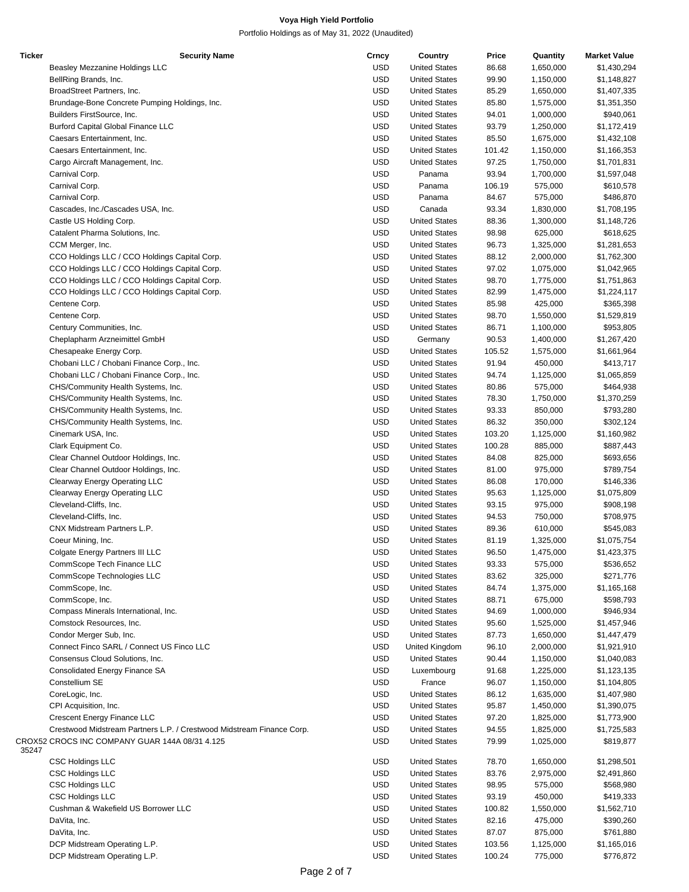| <b>Ticker</b> | <b>Security Name</b>                                                  | Crncy      | Country              | Price  | Quantity  | <b>Market Value</b> |
|---------------|-----------------------------------------------------------------------|------------|----------------------|--------|-----------|---------------------|
|               | Beasley Mezzanine Holdings LLC                                        | <b>USD</b> | <b>United States</b> | 86.68  | 1,650,000 | \$1,430,294         |
|               | BellRing Brands, Inc.                                                 | <b>USD</b> | <b>United States</b> | 99.90  | 1,150,000 | \$1,148,827         |
|               | BroadStreet Partners, Inc.                                            | <b>USD</b> | <b>United States</b> | 85.29  | 1,650,000 | \$1,407,335         |
|               | Brundage-Bone Concrete Pumping Holdings, Inc.                         | <b>USD</b> | <b>United States</b> | 85.80  | 1,575,000 | \$1,351,350         |
|               |                                                                       |            |                      |        |           |                     |
|               | Builders FirstSource, Inc.                                            | <b>USD</b> | <b>United States</b> | 94.01  | 1,000,000 | \$940,061           |
|               | <b>Burford Capital Global Finance LLC</b>                             | <b>USD</b> | <b>United States</b> | 93.79  | 1,250,000 | \$1,172,419         |
|               | Caesars Entertainment, Inc.                                           | <b>USD</b> | <b>United States</b> | 85.50  | 1,675,000 | \$1,432,108         |
|               | Caesars Entertainment, Inc.                                           | <b>USD</b> | <b>United States</b> | 101.42 | 1,150,000 | \$1,166,353         |
|               | Cargo Aircraft Management, Inc.                                       | <b>USD</b> | <b>United States</b> | 97.25  | 1,750,000 | \$1,701,831         |
|               | Carnival Corp.                                                        | <b>USD</b> | Panama               | 93.94  | 1,700,000 | \$1,597,048         |
|               | Carnival Corp.                                                        | <b>USD</b> | Panama               | 106.19 | 575,000   | \$610,578           |
|               |                                                                       |            |                      |        |           |                     |
|               | Carnival Corp.                                                        | <b>USD</b> | Panama               | 84.67  | 575,000   | \$486,870           |
|               | Cascades, Inc./Cascades USA, Inc.                                     | <b>USD</b> | Canada               | 93.34  | 1,830,000 | \$1,708,195         |
|               | Castle US Holding Corp.                                               | <b>USD</b> | <b>United States</b> | 88.36  | 1,300,000 | \$1,148,726         |
|               | Catalent Pharma Solutions, Inc.                                       | <b>USD</b> | <b>United States</b> | 98.98  | 625,000   | \$618,625           |
|               | CCM Merger, Inc.                                                      | <b>USD</b> | <b>United States</b> | 96.73  | 1,325,000 | \$1,281,653         |
|               | CCO Holdings LLC / CCO Holdings Capital Corp.                         | <b>USD</b> | <b>United States</b> | 88.12  | 2,000,000 | \$1,762,300         |
|               | CCO Holdings LLC / CCO Holdings Capital Corp.                         | <b>USD</b> | <b>United States</b> | 97.02  | 1,075,000 | \$1,042,965         |
|               | CCO Holdings LLC / CCO Holdings Capital Corp.                         | <b>USD</b> | <b>United States</b> | 98.70  | 1,775,000 | \$1,751,863         |
|               |                                                                       |            |                      |        |           |                     |
|               | CCO Holdings LLC / CCO Holdings Capital Corp.                         | <b>USD</b> | <b>United States</b> | 82.99  | 1,475,000 | \$1,224,117         |
|               | Centene Corp.                                                         | <b>USD</b> | <b>United States</b> | 85.98  | 425,000   | \$365,398           |
|               | Centene Corp.                                                         | <b>USD</b> | <b>United States</b> | 98.70  | 1,550,000 | \$1,529,819         |
|               | Century Communities, Inc.                                             | <b>USD</b> | <b>United States</b> | 86.71  | 1,100,000 | \$953,805           |
|               | Cheplapharm Arzneimittel GmbH                                         | <b>USD</b> | Germany              | 90.53  | 1,400,000 | \$1,267,420         |
|               | Chesapeake Energy Corp.                                               | <b>USD</b> | <b>United States</b> | 105.52 | 1,575,000 | \$1,661,964         |
|               | Chobani LLC / Chobani Finance Corp., Inc.                             | <b>USD</b> | <b>United States</b> | 91.94  | 450,000   | \$413,717           |
|               |                                                                       |            |                      |        |           |                     |
|               | Chobani LLC / Chobani Finance Corp., Inc.                             | <b>USD</b> | <b>United States</b> | 94.74  | 1,125,000 | \$1,065,859         |
|               | CHS/Community Health Systems, Inc.                                    | <b>USD</b> | <b>United States</b> | 80.86  | 575,000   | \$464,938           |
|               | CHS/Community Health Systems, Inc.                                    | <b>USD</b> | <b>United States</b> | 78.30  | 1,750,000 | \$1,370,259         |
|               | CHS/Community Health Systems, Inc.                                    | <b>USD</b> | <b>United States</b> | 93.33  | 850,000   | \$793,280           |
|               | CHS/Community Health Systems, Inc.                                    | <b>USD</b> | <b>United States</b> | 86.32  | 350,000   | \$302,124           |
|               | Cinemark USA, Inc.                                                    | <b>USD</b> | <b>United States</b> | 103.20 | 1,125,000 | \$1,160,982         |
|               | Clark Equipment Co.                                                   | <b>USD</b> | <b>United States</b> | 100.28 | 885,000   | \$887,443           |
|               |                                                                       |            |                      |        |           |                     |
|               | Clear Channel Outdoor Holdings, Inc.                                  | <b>USD</b> | <b>United States</b> | 84.08  | 825,000   | \$693,656           |
|               | Clear Channel Outdoor Holdings, Inc.                                  | <b>USD</b> | <b>United States</b> | 81.00  | 975,000   | \$789,754           |
|               | Clearway Energy Operating LLC                                         | <b>USD</b> | <b>United States</b> | 86.08  | 170,000   | \$146,336           |
|               | <b>Clearway Energy Operating LLC</b>                                  | <b>USD</b> | <b>United States</b> | 95.63  | 1,125,000 | \$1,075,809         |
|               | Cleveland-Cliffs, Inc.                                                | <b>USD</b> | <b>United States</b> | 93.15  | 975,000   | \$908,198           |
|               | Cleveland-Cliffs, Inc.                                                | <b>USD</b> | <b>United States</b> | 94.53  | 750,000   | \$708,975           |
|               | CNX Midstream Partners L.P.                                           | <b>USD</b> | <b>United States</b> | 89.36  | 610,000   | \$545,083           |
|               |                                                                       |            |                      |        |           |                     |
|               | Coeur Mining, Inc.                                                    | <b>USD</b> | <b>United States</b> | 81.19  | 1,325,000 | \$1,075,754         |
|               | Colgate Energy Partners III LLC                                       | <b>USD</b> | <b>United States</b> | 96.50  | 1,475,000 | \$1,423,375         |
|               | CommScope Tech Finance LLC                                            | <b>USD</b> | <b>United States</b> | 93.33  | 575,000   | \$536,652           |
|               | CommScope Technologies LLC                                            | <b>USD</b> | <b>United States</b> | 83.62  | 325,000   | \$271,776           |
|               | CommScope, Inc.                                                       | <b>USD</b> | <b>United States</b> | 84.74  | 1,375,000 | \$1,165,168         |
|               | CommScope, Inc.                                                       | <b>USD</b> | <b>United States</b> | 88.71  | 675,000   | \$598,793           |
|               | Compass Minerals International, Inc.                                  | <b>USD</b> | <b>United States</b> | 94.69  | 1,000,000 | \$946,934           |
|               |                                                                       |            |                      |        |           |                     |
|               | Comstock Resources, Inc.                                              | <b>USD</b> | <b>United States</b> | 95.60  | 1,525,000 | \$1,457,946         |
|               | Condor Merger Sub, Inc.                                               | <b>USD</b> | <b>United States</b> | 87.73  | 1,650,000 | \$1,447,479         |
|               | Connect Finco SARL / Connect US Finco LLC                             | <b>USD</b> | United Kingdom       | 96.10  | 2,000,000 | \$1,921,910         |
|               | Consensus Cloud Solutions, Inc.                                       | <b>USD</b> | <b>United States</b> | 90.44  | 1,150,000 | \$1,040,083         |
|               | Consolidated Energy Finance SA                                        | <b>USD</b> | Luxembourg           | 91.68  | 1,225,000 | \$1,123,135         |
|               | Constellium SE                                                        | <b>USD</b> | France               | 96.07  | 1,150,000 | \$1,104,805         |
|               |                                                                       | <b>USD</b> |                      |        | 1,635,000 |                     |
|               | CoreLogic, Inc.                                                       |            | <b>United States</b> | 86.12  |           | \$1,407,980         |
|               | CPI Acquisition, Inc.                                                 | <b>USD</b> | <b>United States</b> | 95.87  | 1,450,000 | \$1,390,075         |
|               | Crescent Energy Finance LLC                                           | <b>USD</b> | <b>United States</b> | 97.20  | 1,825,000 | \$1,773,900         |
|               | Crestwood Midstream Partners L.P. / Crestwood Midstream Finance Corp. | <b>USD</b> | <b>United States</b> | 94.55  | 1,825,000 | \$1,725,583         |
|               | CROX52 CROCS INC COMPANY GUAR 144A 08/31 4.125                        | <b>USD</b> | <b>United States</b> | 79.99  | 1,025,000 | \$819,877           |
| 35247         |                                                                       |            |                      |        |           |                     |
|               | <b>CSC Holdings LLC</b>                                               | USD        | <b>United States</b> | 78.70  | 1,650,000 | \$1,298,501         |
|               | <b>CSC Holdings LLC</b>                                               | <b>USD</b> | <b>United States</b> | 83.76  | 2,975,000 | \$2,491,860         |
|               | <b>CSC Holdings LLC</b>                                               | <b>USD</b> | <b>United States</b> | 98.95  | 575,000   | \$568,980           |
|               |                                                                       |            |                      |        |           |                     |
|               | <b>CSC Holdings LLC</b>                                               | <b>USD</b> | <b>United States</b> | 93.19  | 450,000   | \$419,333           |
|               | Cushman & Wakefield US Borrower LLC                                   | <b>USD</b> | <b>United States</b> | 100.82 | 1,550,000 | \$1,562,710         |
|               | DaVita, Inc.                                                          | <b>USD</b> | <b>United States</b> | 82.16  | 475,000   | \$390,260           |
|               | DaVita, Inc.                                                          | <b>USD</b> | <b>United States</b> | 87.07  | 875,000   | \$761,880           |
|               | DCP Midstream Operating L.P.                                          | <b>USD</b> | <b>United States</b> | 103.56 | 1,125,000 | \$1,165,016         |
|               | DCP Midstream Operating L.P.                                          | <b>USD</b> | <b>United States</b> | 100.24 | 775,000   | \$776,872           |
|               |                                                                       |            |                      |        |           |                     |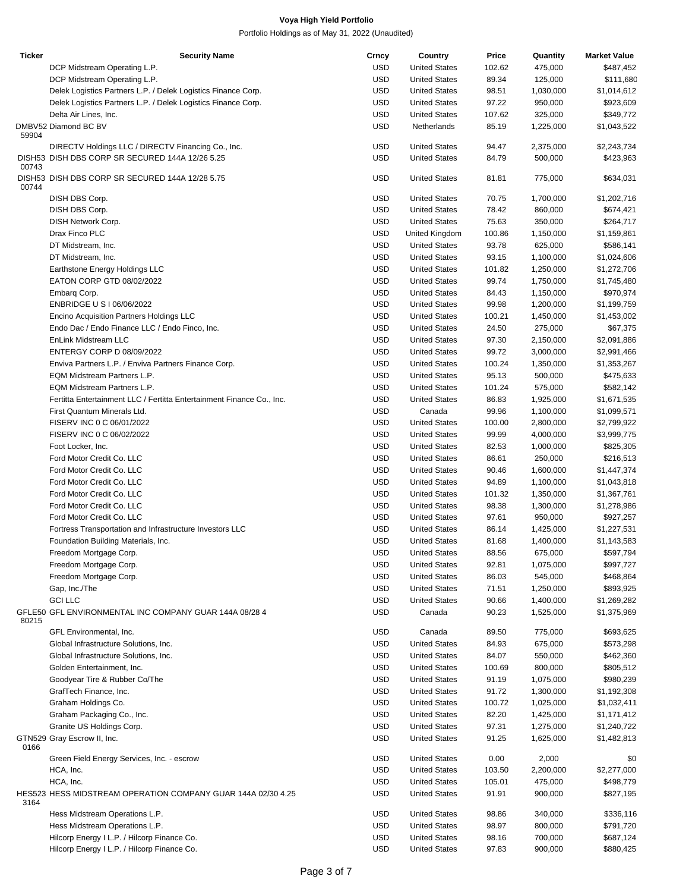| <b>Ticker</b> | <b>Security Name</b>                                                  | Crncy      | Country              | Price  | Quantity  | <b>Market Value</b> |
|---------------|-----------------------------------------------------------------------|------------|----------------------|--------|-----------|---------------------|
|               | DCP Midstream Operating L.P.                                          | <b>USD</b> | <b>United States</b> | 102.62 | 475,000   | \$487,452           |
|               | DCP Midstream Operating L.P.                                          | <b>USD</b> | <b>United States</b> | 89.34  | 125,000   | \$111,680           |
|               | Delek Logistics Partners L.P. / Delek Logistics Finance Corp.         | <b>USD</b> | <b>United States</b> | 98.51  | 1,030,000 | \$1,014,612         |
|               | Delek Logistics Partners L.P. / Delek Logistics Finance Corp.         | <b>USD</b> | <b>United States</b> | 97.22  | 950,000   | \$923,609           |
|               | Delta Air Lines, Inc.                                                 | <b>USD</b> | <b>United States</b> | 107.62 | 325,000   | \$349,772           |
|               | DMBV52 Diamond BC BV                                                  | <b>USD</b> | Netherlands          | 85.19  | 1,225,000 | \$1,043,522         |
| 59904         | DIRECTV Holdings LLC / DIRECTV Financing Co., Inc.                    | <b>USD</b> | <b>United States</b> | 94.47  | 2,375,000 | \$2,243,734         |
|               | DISH53 DISH DBS CORP SR SECURED 144A 12/26 5.25                       | <b>USD</b> | <b>United States</b> | 84.79  | 500,000   | \$423,963           |
| 00743         | DISH53 DISH DBS CORP SR SECURED 144A 12/28 5.75                       | <b>USD</b> | <b>United States</b> | 81.81  | 775,000   | \$634,031           |
| 00744         |                                                                       |            |                      |        |           |                     |
|               | DISH DBS Corp.                                                        | <b>USD</b> | <b>United States</b> | 70.75  | 1,700,000 | \$1,202,716         |
|               | DISH DBS Corp.                                                        | <b>USD</b> | <b>United States</b> | 78.42  | 860,000   | \$674,421           |
|               | DISH Network Corp.                                                    | <b>USD</b> | <b>United States</b> | 75.63  | 350,000   | \$264,717           |
|               | Drax Finco PLC                                                        | <b>USD</b> | United Kingdom       | 100.86 | 1,150,000 | \$1,159,861         |
|               | DT Midstream, Inc.                                                    | <b>USD</b> | <b>United States</b> | 93.78  | 625,000   | \$586,141           |
|               | DT Midstream, Inc.                                                    | <b>USD</b> | <b>United States</b> | 93.15  | 1,100,000 | \$1,024,606         |
|               | Earthstone Energy Holdings LLC                                        | <b>USD</b> | <b>United States</b> | 101.82 | 1,250,000 | \$1,272,706         |
|               | EATON CORP GTD 08/02/2022                                             | <b>USD</b> | <b>United States</b> | 99.74  | 1,750,000 | \$1,745,480         |
|               | Embarg Corp.                                                          | <b>USD</b> | <b>United States</b> | 84.43  | 1,150,000 | \$970,974           |
|               | ENBRIDGE U S I 06/06/2022                                             | <b>USD</b> | <b>United States</b> | 99.98  | 1,200,000 | \$1,199,759         |
|               | <b>Encino Acquisition Partners Holdings LLC</b>                       | <b>USD</b> | <b>United States</b> | 100.21 | 1,450,000 | \$1,453,002         |
|               | Endo Dac / Endo Finance LLC / Endo Finco, Inc.                        | <b>USD</b> | <b>United States</b> | 24.50  | 275,000   | \$67,375            |
|               | EnLink Midstream LLC                                                  | <b>USD</b> | <b>United States</b> | 97.30  | 2,150,000 | \$2,091,886         |
|               | ENTERGY CORP D 08/09/2022                                             | <b>USD</b> | <b>United States</b> | 99.72  | 3,000,000 | \$2,991,466         |
|               |                                                                       | <b>USD</b> |                      |        |           |                     |
|               | Enviva Partners L.P. / Enviva Partners Finance Corp.                  |            | <b>United States</b> | 100.24 | 1,350,000 | \$1,353,267         |
|               | EQM Midstream Partners L.P.                                           | <b>USD</b> | <b>United States</b> | 95.13  | 500,000   | \$475,633           |
|               | EQM Midstream Partners L.P.                                           | <b>USD</b> | <b>United States</b> | 101.24 | 575,000   | \$582,142           |
|               | Fertitta Entertainment LLC / Fertitta Entertainment Finance Co., Inc. | <b>USD</b> | <b>United States</b> | 86.83  | 1,925,000 | \$1,671,535         |
|               | First Quantum Minerals Ltd.                                           | <b>USD</b> | Canada               | 99.96  | 1,100,000 | \$1,099,571         |
|               | FISERV INC 0 C 06/01/2022                                             | <b>USD</b> | <b>United States</b> | 100.00 | 2,800,000 | \$2,799,922         |
|               | FISERV INC 0 C 06/02/2022                                             | <b>USD</b> | <b>United States</b> | 99.99  | 4,000,000 | \$3,999,775         |
|               | Foot Locker, Inc.                                                     | <b>USD</b> | <b>United States</b> | 82.53  | 1,000,000 | \$825,305           |
|               | Ford Motor Credit Co. LLC                                             | <b>USD</b> | <b>United States</b> | 86.61  | 250,000   | \$216,513           |
|               | Ford Motor Credit Co. LLC                                             | <b>USD</b> | <b>United States</b> | 90.46  | 1,600,000 | \$1,447,374         |
|               | Ford Motor Credit Co. LLC                                             | <b>USD</b> | <b>United States</b> | 94.89  | 1,100,000 | \$1,043,818         |
|               | Ford Motor Credit Co. LLC                                             | <b>USD</b> | <b>United States</b> | 101.32 | 1,350,000 | \$1,367,761         |
|               | Ford Motor Credit Co. LLC                                             | <b>USD</b> | <b>United States</b> | 98.38  | 1,300,000 | \$1,278,986         |
|               | Ford Motor Credit Co. LLC                                             | <b>USD</b> | <b>United States</b> | 97.61  | 950,000   | \$927,257           |
|               | Fortress Transportation and Infrastructure Investors LLC              | <b>USD</b> | <b>United States</b> | 86.14  | 1,425,000 | \$1,227,531         |
|               | Foundation Building Materials, Inc.                                   | <b>USD</b> | <b>United States</b> | 81.68  | 1,400,000 | \$1,143,583         |
|               |                                                                       |            |                      | 88.56  |           |                     |
|               | Freedom Mortgage Corp.                                                | <b>USD</b> | <b>United States</b> |        | 675,000   | \$597,794           |
|               | Freedom Mortgage Corp.                                                | <b>USD</b> | <b>United States</b> | 92.81  | 1,075,000 | \$997,727           |
|               | Freedom Mortgage Corp.                                                | <b>USD</b> | <b>United States</b> | 86.03  | 545,000   | \$468,864           |
|               | Gap, Inc./The                                                         | <b>USD</b> | <b>United States</b> | 71.51  | 1,250,000 | \$893,925           |
|               | <b>GCI LLC</b>                                                        | <b>USD</b> | <b>United States</b> | 90.66  | 1,400,000 | \$1,269,282         |
| 80215         | GFLE50 GFL ENVIRONMENTAL INC COMPANY GUAR 144A 08/28 4                | <b>USD</b> | Canada               | 90.23  | 1,525,000 | \$1,375,969         |
|               | GFL Environmental, Inc.                                               | <b>USD</b> | Canada               | 89.50  | 775,000   | \$693,625           |
|               | Global Infrastructure Solutions, Inc.                                 | <b>USD</b> | <b>United States</b> | 84.93  | 675,000   | \$573,298           |
|               | Global Infrastructure Solutions, Inc.                                 | <b>USD</b> | <b>United States</b> | 84.07  | 550,000   | \$462,360           |
|               | Golden Entertainment, Inc.                                            | <b>USD</b> | <b>United States</b> | 100.69 | 800,000   | \$805,512           |
|               | Goodyear Tire & Rubber Co/The                                         | <b>USD</b> | <b>United States</b> | 91.19  | 1,075,000 | \$980,239           |
|               | GrafTech Finance, Inc.                                                | <b>USD</b> | <b>United States</b> | 91.72  | 1,300,000 | \$1,192,308         |
|               | Graham Holdings Co.                                                   | <b>USD</b> | <b>United States</b> | 100.72 | 1,025,000 | \$1,032,411         |
|               | Graham Packaging Co., Inc.                                            | <b>USD</b> | <b>United States</b> | 82.20  | 1,425,000 | \$1,171,412         |
|               |                                                                       |            |                      |        |           |                     |
|               | Granite US Holdings Corp.                                             | <b>USD</b> | <b>United States</b> | 97.31  | 1,275,000 | \$1,240,722         |
| 0166          | GTN529 Gray Escrow II, Inc.                                           | <b>USD</b> | <b>United States</b> | 91.25  | 1,625,000 | \$1,482,813         |
|               | Green Field Energy Services, Inc. - escrow                            | <b>USD</b> | <b>United States</b> | 0.00   | 2,000     | \$0                 |
|               | HCA, Inc.                                                             | <b>USD</b> | <b>United States</b> | 103.50 | 2,200,000 | \$2,277,000         |
|               | HCA, Inc.                                                             | <b>USD</b> | <b>United States</b> | 105.01 | 475,000   | \$498,779           |
| 3164          | HES523 HESS MIDSTREAM OPERATION COMPANY GUAR 144A 02/30 4.25          | <b>USD</b> | <b>United States</b> | 91.91  | 900,000   | \$827,195           |
|               | Hess Midstream Operations L.P.                                        | <b>USD</b> | <b>United States</b> | 98.86  | 340,000   | \$336,116           |
|               | Hess Midstream Operations L.P.                                        | <b>USD</b> | <b>United States</b> | 98.97  | 800,000   | \$791,720           |
|               | Hilcorp Energy I L.P. / Hilcorp Finance Co.                           | <b>USD</b> | <b>United States</b> | 98.16  | 700,000   | \$687,124           |
|               | Hilcorp Energy I L.P. / Hilcorp Finance Co.                           | <b>USD</b> | <b>United States</b> | 97.83  | 900,000   | \$880,425           |
|               |                                                                       |            |                      |        |           |                     |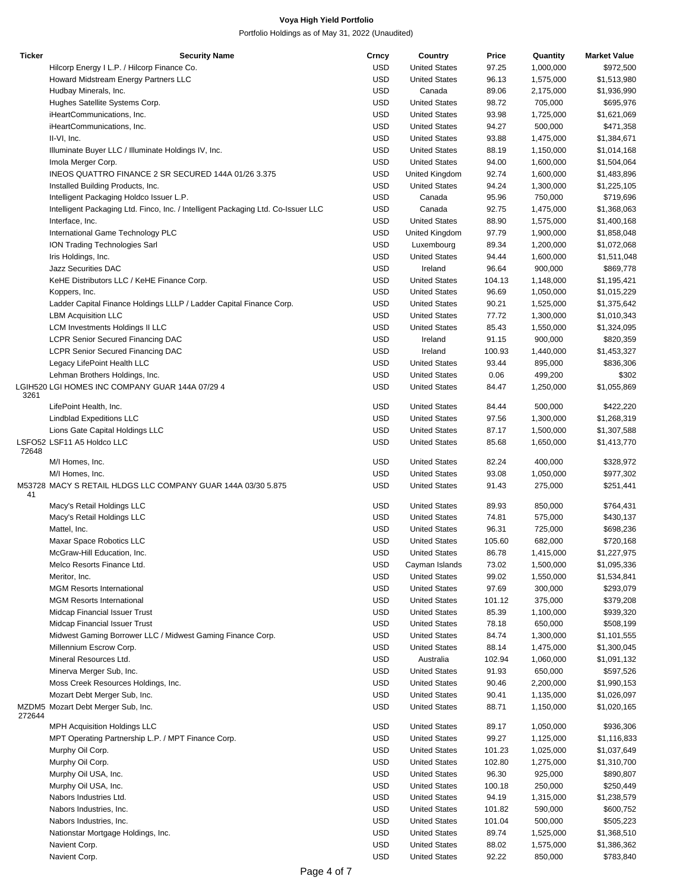| <b>Ticker</b> | <b>Security Name</b>                                                              | Crncy      | Country              | Price  | Quantity  | <b>Market Value</b> |
|---------------|-----------------------------------------------------------------------------------|------------|----------------------|--------|-----------|---------------------|
|               | Hilcorp Energy I L.P. / Hilcorp Finance Co.                                       | <b>USD</b> | <b>United States</b> | 97.25  | 1,000,000 | \$972,500           |
|               | Howard Midstream Energy Partners LLC                                              | <b>USD</b> | <b>United States</b> | 96.13  | 1,575,000 | \$1,513,980         |
|               | Hudbay Minerals, Inc.                                                             | <b>USD</b> | Canada               | 89.06  | 2,175,000 | \$1,936,990         |
|               | Hughes Satellite Systems Corp.                                                    | <b>USD</b> | <b>United States</b> | 98.72  | 705,000   | \$695,976           |
|               | iHeartCommunications, Inc.                                                        | <b>USD</b> | <b>United States</b> | 93.98  | 1,725,000 | \$1,621,069         |
|               | iHeartCommunications, Inc.                                                        | <b>USD</b> | <b>United States</b> | 94.27  | 500,000   | \$471,358           |
|               | II-VI, Inc.                                                                       | <b>USD</b> | <b>United States</b> | 93.88  | 1,475,000 | \$1,384,671         |
|               | Illuminate Buyer LLC / Illuminate Holdings IV, Inc.                               | <b>USD</b> | <b>United States</b> | 88.19  | 1,150,000 | \$1,014,168         |
|               | Imola Merger Corp.                                                                | <b>USD</b> | <b>United States</b> | 94.00  | 1,600,000 | \$1,504,064         |
|               | INEOS QUATTRO FINANCE 2 SR SECURED 144A 01/26 3.375                               | <b>USD</b> | United Kingdom       | 92.74  | 1,600,000 | \$1,483,896         |
|               | Installed Building Products, Inc.                                                 | <b>USD</b> | <b>United States</b> | 94.24  | 1,300,000 | \$1,225,105         |
|               | Intelligent Packaging Holdco Issuer L.P.                                          | <b>USD</b> | Canada               | 95.96  | 750,000   | \$719,696           |
|               | Intelligent Packaging Ltd. Finco, Inc. / Intelligent Packaging Ltd. Co-Issuer LLC | <b>USD</b> | Canada               | 92.75  | 1,475,000 | \$1,368,063         |
|               |                                                                                   | <b>USD</b> |                      |        |           |                     |
|               | Interface, Inc.                                                                   |            | <b>United States</b> | 88.90  | 1,575,000 | \$1,400,168         |
|               | International Game Technology PLC                                                 | <b>USD</b> | United Kingdom       | 97.79  | 1,900,000 | \$1,858,048         |
|               | ION Trading Technologies Sarl                                                     | <b>USD</b> | Luxembourg           | 89.34  | 1,200,000 | \$1,072,068         |
|               | Iris Holdings, Inc.                                                               | <b>USD</b> | <b>United States</b> | 94.44  | 1,600,000 | \$1,511,048         |
|               | <b>Jazz Securities DAC</b>                                                        | <b>USD</b> | Ireland              | 96.64  | 900,000   | \$869,778           |
|               | KeHE Distributors LLC / KeHE Finance Corp.                                        | <b>USD</b> | <b>United States</b> | 104.13 | 1,148,000 | \$1,195,421         |
|               | Koppers, Inc.                                                                     | <b>USD</b> | <b>United States</b> | 96.69  | 1,050,000 | \$1,015,229         |
|               | Ladder Capital Finance Holdings LLLP / Ladder Capital Finance Corp.               | <b>USD</b> | <b>United States</b> | 90.21  | 1,525,000 | \$1,375,642         |
|               | <b>LBM Acquisition LLC</b>                                                        | <b>USD</b> | <b>United States</b> | 77.72  | 1,300,000 | \$1,010,343         |
|               | <b>LCM Investments Holdings II LLC</b>                                            | <b>USD</b> | <b>United States</b> | 85.43  | 1,550,000 | \$1,324,095         |
|               | <b>LCPR Senior Secured Financing DAC</b>                                          | <b>USD</b> | Ireland              | 91.15  | 900,000   | \$820,359           |
|               | <b>LCPR Senior Secured Financing DAC</b>                                          | <b>USD</b> | Ireland              | 100.93 | 1,440,000 | \$1,453,327         |
|               | Legacy LifePoint Health LLC                                                       | <b>USD</b> | <b>United States</b> | 93.44  | 895,000   | \$836,306           |
|               | Lehman Brothers Holdings, Inc.                                                    | <b>USD</b> | <b>United States</b> | 0.06   | 499,200   | \$302               |
| 3261          | LGIH520 LGI HOMES INC COMPANY GUAR 144A 07/29 4                                   | <b>USD</b> | <b>United States</b> | 84.47  | 1,250,000 | \$1,055,869         |
|               | LifePoint Health, Inc.                                                            | <b>USD</b> | <b>United States</b> | 84.44  | 500,000   | \$422,220           |
|               | <b>Lindblad Expeditions LLC</b>                                                   | <b>USD</b> | <b>United States</b> | 97.56  | 1,300,000 | \$1,268,319         |
|               | Lions Gate Capital Holdings LLC                                                   | <b>USD</b> | <b>United States</b> | 87.17  | 1,500,000 | \$1,307,588         |
| 72648         | LSFO52 LSF11 A5 Holdco LLC                                                        | <b>USD</b> | <b>United States</b> | 85.68  | 1,650,000 | \$1,413,770         |
|               | M/I Homes, Inc.                                                                   | USD        | <b>United States</b> | 82.24  | 400,000   | \$328,972           |
|               | M/I Homes, Inc.                                                                   | <b>USD</b> | <b>United States</b> | 93.08  | 1,050,000 | \$977,302           |
| 41            | M53728 MACY S RETAIL HLDGS LLC COMPANY GUAR 144A 03/30 5.875                      | <b>USD</b> | <b>United States</b> | 91.43  | 275,000   | \$251,441           |
|               | Macy's Retail Holdings LLC                                                        | <b>USD</b> | <b>United States</b> | 89.93  | 850,000   | \$764,431           |
|               | Macy's Retail Holdings LLC                                                        | <b>USD</b> | <b>United States</b> | 74.81  | 575,000   | \$430,137           |
|               | Mattel, Inc.                                                                      | <b>USD</b> | <b>United States</b> | 96.31  | 725,000   | \$698,236           |
|               | Maxar Space Robotics LLC                                                          | <b>USD</b> | <b>United States</b> | 105.60 | 682,000   | \$720,168           |
|               | McGraw-Hill Education, Inc.                                                       | <b>USD</b> | <b>United States</b> | 86.78  | 1,415,000 | \$1,227,975         |
|               | Melco Resorts Finance Ltd.                                                        | <b>USD</b> | Cayman Islands       | 73.02  | 1,500,000 | \$1,095,336         |
|               | Meritor, Inc.                                                                     | <b>USD</b> | <b>United States</b> | 99.02  | 1,550,000 | \$1,534,841         |
|               | <b>MGM Resorts International</b>                                                  | <b>USD</b> | <b>United States</b> | 97.69  | 300,000   | \$293,079           |
|               | <b>MGM Resorts International</b>                                                  | <b>USD</b> | <b>United States</b> | 101.12 | 375,000   | \$379,208           |
|               | Midcap Financial Issuer Trust                                                     | <b>USD</b> | <b>United States</b> | 85.39  | 1,100,000 | \$939,320           |
|               | Midcap Financial Issuer Trust                                                     | <b>USD</b> | <b>United States</b> | 78.18  | 650,000   | \$508,199           |
|               | Midwest Gaming Borrower LLC / Midwest Gaming Finance Corp.                        | <b>USD</b> | <b>United States</b> | 84.74  | 1,300,000 | \$1,101,555         |
|               | Millennium Escrow Corp.                                                           | <b>USD</b> | <b>United States</b> | 88.14  | 1,475,000 | \$1,300,045         |
|               | Mineral Resources Ltd.                                                            | <b>USD</b> | Australia            | 102.94 | 1,060,000 | \$1,091,132         |
|               | Minerva Merger Sub, Inc.                                                          | <b>USD</b> | <b>United States</b> | 91.93  | 650,000   | \$597,526           |
|               | Moss Creek Resources Holdings, Inc.                                               | <b>USD</b> | <b>United States</b> | 90.46  | 2,200,000 | \$1,990,153         |
|               | Mozart Debt Merger Sub, Inc.                                                      | <b>USD</b> | <b>United States</b> | 90.41  | 1,135,000 | \$1,026,097         |
|               | MZDM5 Mozart Debt Merger Sub, Inc.                                                | <b>USD</b> | <b>United States</b> | 88.71  | 1,150,000 | \$1,020,165         |
| 272644        | <b>MPH Acquisition Holdings LLC</b>                                               | <b>USD</b> | <b>United States</b> | 89.17  | 1,050,000 | \$936,306           |
|               |                                                                                   |            |                      |        |           |                     |
|               | MPT Operating Partnership L.P. / MPT Finance Corp.                                | <b>USD</b> | <b>United States</b> | 99.27  | 1,125,000 | \$1,116,833         |
|               | Murphy Oil Corp.                                                                  | <b>USD</b> | <b>United States</b> | 101.23 | 1,025,000 | \$1,037,649         |
|               | Murphy Oil Corp.                                                                  | <b>USD</b> | <b>United States</b> | 102.80 | 1,275,000 | \$1,310,700         |
|               | Murphy Oil USA, Inc.                                                              | <b>USD</b> | <b>United States</b> | 96.30  | 925,000   | \$890,807           |
|               | Murphy Oil USA, Inc.                                                              | <b>USD</b> | <b>United States</b> | 100.18 | 250,000   | \$250,449           |
|               | Nabors Industries Ltd.                                                            | <b>USD</b> | <b>United States</b> | 94.19  | 1,315,000 | \$1,238,579         |
|               | Nabors Industries, Inc.                                                           | <b>USD</b> | <b>United States</b> | 101.82 | 590,000   | \$600,752           |
|               | Nabors Industries, Inc.                                                           | <b>USD</b> | <b>United States</b> | 101.04 | 500,000   | \$505,223           |
|               | Nationstar Mortgage Holdings, Inc.                                                | <b>USD</b> | <b>United States</b> | 89.74  | 1,525,000 | \$1,368,510         |
|               | Navient Corp.                                                                     | <b>USD</b> | <b>United States</b> | 88.02  | 1,575,000 | \$1,386,362         |
|               | Navient Corp.                                                                     | <b>USD</b> | <b>United States</b> | 92.22  | 850,000   | \$783,840           |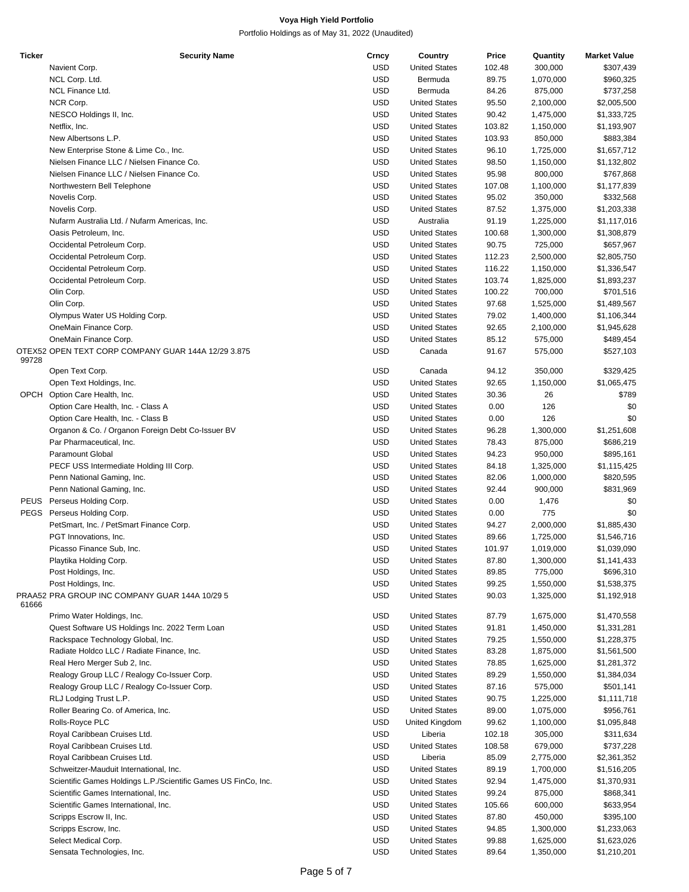| <b>Ticker</b> | <b>Security Name</b>                                           | Crncy      | Country              | Price  | Quantity  | <b>Market Value</b> |
|---------------|----------------------------------------------------------------|------------|----------------------|--------|-----------|---------------------|
|               | Navient Corp.                                                  | <b>USD</b> | <b>United States</b> | 102.48 | 300,000   | \$307,439           |
|               | NCL Corp. Ltd.                                                 | <b>USD</b> | Bermuda              | 89.75  | 1,070,000 | \$960,325           |
|               |                                                                |            |                      |        |           |                     |
|               | <b>NCL Finance Ltd.</b>                                        | <b>USD</b> | Bermuda              | 84.26  | 875,000   | \$737,258           |
|               | NCR Corp.                                                      | <b>USD</b> | <b>United States</b> | 95.50  | 2,100,000 | \$2,005,500         |
|               | NESCO Holdings II, Inc.                                        | <b>USD</b> | <b>United States</b> | 90.42  | 1,475,000 | \$1,333,725         |
|               | Netflix, Inc.                                                  | <b>USD</b> | <b>United States</b> | 103.82 | 1,150,000 | \$1,193,907         |
|               | New Albertsons L.P.                                            | <b>USD</b> | <b>United States</b> | 103.93 | 850,000   | \$883,384           |
|               |                                                                |            |                      |        |           |                     |
|               | New Enterprise Stone & Lime Co., Inc.                          | <b>USD</b> | <b>United States</b> | 96.10  | 1,725,000 | \$1,657,712         |
|               | Nielsen Finance LLC / Nielsen Finance Co.                      | <b>USD</b> | <b>United States</b> | 98.50  | 1,150,000 | \$1,132,802         |
|               | Nielsen Finance LLC / Nielsen Finance Co.                      | <b>USD</b> | <b>United States</b> | 95.98  | 800,000   | \$767,868           |
|               | Northwestern Bell Telephone                                    | <b>USD</b> | <b>United States</b> | 107.08 | 1,100,000 | \$1,177,839         |
|               |                                                                |            |                      |        |           |                     |
|               | Novelis Corp.                                                  | <b>USD</b> | <b>United States</b> | 95.02  | 350,000   | \$332,568           |
|               | Novelis Corp.                                                  | <b>USD</b> | <b>United States</b> | 87.52  | 1,375,000 | \$1,203,338         |
|               | Nufarm Australia Ltd. / Nufarm Americas, Inc.                  | <b>USD</b> | Australia            | 91.19  | 1,225,000 | \$1,117,016         |
|               | Oasis Petroleum, Inc.                                          | <b>USD</b> | <b>United States</b> | 100.68 | 1,300,000 | \$1,308,879         |
|               |                                                                |            |                      |        |           |                     |
|               | Occidental Petroleum Corp.                                     | <b>USD</b> | <b>United States</b> | 90.75  | 725,000   | \$657,967           |
|               | Occidental Petroleum Corp.                                     | <b>USD</b> | <b>United States</b> | 112.23 | 2,500,000 | \$2,805,750         |
|               | Occidental Petroleum Corp.                                     | <b>USD</b> | <b>United States</b> | 116.22 | 1,150,000 | \$1,336,547         |
|               | Occidental Petroleum Corp.                                     | <b>USD</b> | <b>United States</b> | 103.74 | 1,825,000 | \$1,893,237         |
|               |                                                                |            |                      |        |           |                     |
|               | Olin Corp.                                                     | <b>USD</b> | <b>United States</b> | 100.22 | 700,000   | \$701,516           |
|               | Olin Corp.                                                     | <b>USD</b> | <b>United States</b> | 97.68  | 1,525,000 | \$1,489,567         |
|               | Olympus Water US Holding Corp.                                 | <b>USD</b> | <b>United States</b> | 79.02  | 1,400,000 | \$1,106,344         |
|               | OneMain Finance Corp.                                          | <b>USD</b> | <b>United States</b> | 92.65  | 2,100,000 | \$1,945,628         |
|               |                                                                |            |                      |        |           |                     |
|               | OneMain Finance Corp.                                          | <b>USD</b> | <b>United States</b> | 85.12  | 575,000   | \$489,454           |
|               | OTEX52 OPEN TEXT CORP COMPANY GUAR 144A 12/29 3.875            | <b>USD</b> | Canada               | 91.67  | 575,000   | \$527,103           |
| 99728         |                                                                |            |                      |        |           |                     |
|               | Open Text Corp.                                                | <b>USD</b> | Canada               | 94.12  | 350,000   | \$329,425           |
|               | Open Text Holdings, Inc.                                       | <b>USD</b> | <b>United States</b> | 92.65  | 1,150,000 | \$1,065,475         |
|               |                                                                |            |                      |        |           |                     |
|               | OPCH Option Care Health, Inc.                                  | <b>USD</b> | <b>United States</b> | 30.36  | 26        | \$789               |
|               | Option Care Health, Inc. - Class A                             | <b>USD</b> | <b>United States</b> | 0.00   | 126       | \$0                 |
|               | Option Care Health, Inc. - Class B                             | <b>USD</b> | <b>United States</b> | 0.00   | 126       | \$0                 |
|               | Organon & Co. / Organon Foreign Debt Co-Issuer BV              | <b>USD</b> | <b>United States</b> | 96.28  | 1,300,000 | \$1,251,608         |
|               |                                                                |            |                      |        |           |                     |
|               | Par Pharmaceutical, Inc.                                       | <b>USD</b> | <b>United States</b> | 78.43  | 875,000   | \$686,219           |
|               | Paramount Global                                               | <b>USD</b> | <b>United States</b> | 94.23  | 950,000   | \$895,161           |
|               | PECF USS Intermediate Holding III Corp.                        | <b>USD</b> | <b>United States</b> | 84.18  | 1,325,000 | \$1,115,425         |
|               | Penn National Gaming, Inc.                                     | <b>USD</b> | <b>United States</b> | 82.06  | 1,000,000 | \$820,595           |
|               |                                                                |            |                      |        |           |                     |
|               | Penn National Gaming, Inc.                                     | <b>USD</b> | <b>United States</b> | 92.44  | 900,000   | \$831,969           |
|               | PEUS Perseus Holding Corp.                                     | <b>USD</b> | <b>United States</b> | 0.00   | 1,476     | \$0                 |
|               | PEGS Perseus Holding Corp.                                     | <b>USD</b> | <b>United States</b> | 0.00   | 775       | \$0                 |
|               | PetSmart, Inc. / PetSmart Finance Corp.                        | <b>USD</b> | <b>United States</b> | 94.27  | 2,000,000 | \$1,885,430         |
|               |                                                                |            |                      |        |           |                     |
|               | PGT Innovations, Inc.                                          | <b>USD</b> | <b>United States</b> | 89.66  | 1,725,000 | \$1,546,716         |
|               | Picasso Finance Sub, Inc.                                      | <b>USD</b> | <b>United States</b> | 101.97 | 1,019,000 | \$1,039,090         |
|               | Playtika Holding Corp.                                         | USD        | <b>United States</b> | 87.80  | 1,300,000 | \$1,141,433         |
|               | Post Holdings, Inc.                                            | <b>USD</b> | <b>United States</b> | 89.85  | 775,000   | \$696,310           |
|               |                                                                |            |                      |        |           |                     |
|               | Post Holdings, Inc.                                            | <b>USD</b> | <b>United States</b> | 99.25  | 1,550,000 | \$1,538,375         |
|               | PRAA52 PRA GROUP INC COMPANY GUAR 144A 10/29 5                 | <b>USD</b> | <b>United States</b> | 90.03  | 1,325,000 | \$1,192,918         |
| 61666         |                                                                |            |                      |        |           |                     |
|               | Primo Water Holdings, Inc.                                     | <b>USD</b> | <b>United States</b> | 87.79  | 1,675,000 | \$1,470,558         |
|               | Quest Software US Holdings Inc. 2022 Term Loan                 | <b>USD</b> | <b>United States</b> | 91.81  | 1,450,000 | \$1,331,281         |
|               | Rackspace Technology Global, Inc.                              | <b>USD</b> | <b>United States</b> | 79.25  | 1,550,000 | \$1,228,375         |
|               |                                                                |            |                      |        |           |                     |
|               | Radiate Holdco LLC / Radiate Finance, Inc.                     | <b>USD</b> | <b>United States</b> | 83.28  | 1,875,000 | \$1,561,500         |
|               | Real Hero Merger Sub 2, Inc.                                   | <b>USD</b> | <b>United States</b> | 78.85  | 1,625,000 | \$1,281,372         |
|               | Realogy Group LLC / Realogy Co-Issuer Corp.                    | <b>USD</b> | <b>United States</b> | 89.29  | 1,550,000 | \$1,384,034         |
|               | Realogy Group LLC / Realogy Co-Issuer Corp.                    | <b>USD</b> | <b>United States</b> | 87.16  | 575,000   | \$501,141           |
|               |                                                                |            |                      |        |           |                     |
|               | RLJ Lodging Trust L.P.                                         | <b>USD</b> | <b>United States</b> | 90.75  | 1,225,000 | \$1,111,718         |
|               | Roller Bearing Co. of America, Inc.                            | <b>USD</b> | <b>United States</b> | 89.00  | 1,075,000 | \$956,761           |
|               | Rolls-Royce PLC                                                | <b>USD</b> | United Kingdom       | 99.62  | 1,100,000 | \$1,095,848         |
|               | Royal Caribbean Cruises Ltd.                                   | <b>USD</b> | Liberia              | 102.18 | 305,000   | \$311,634           |
|               |                                                                |            |                      |        |           |                     |
|               | Royal Caribbean Cruises Ltd.                                   | <b>USD</b> | <b>United States</b> | 108.58 | 679,000   | \$737,228           |
|               | Royal Caribbean Cruises Ltd.                                   | <b>USD</b> | Liberia              | 85.09  | 2,775,000 | \$2,361,352         |
|               | Schweitzer-Mauduit International, Inc.                         | <b>USD</b> | <b>United States</b> | 89.19  | 1,700,000 | \$1,516,205         |
|               | Scientific Games Holdings L.P./Scientific Games US FinCo, Inc. | <b>USD</b> | <b>United States</b> | 92.94  | 1,475,000 | \$1,370,931         |
|               |                                                                |            |                      |        |           |                     |
|               | Scientific Games International, Inc.                           | <b>USD</b> | <b>United States</b> | 99.24  | 875,000   | \$868,341           |
|               | Scientific Games International, Inc.                           | <b>USD</b> | <b>United States</b> | 105.66 | 600,000   | \$633,954           |
|               | Scripps Escrow II, Inc.                                        | <b>USD</b> | <b>United States</b> | 87.80  | 450,000   | \$395,100           |
|               | Scripps Escrow, Inc.                                           | <b>USD</b> | <b>United States</b> | 94.85  | 1,300,000 | \$1,233,063         |
|               |                                                                |            |                      |        |           |                     |
|               | Select Medical Corp.                                           | <b>USD</b> | <b>United States</b> | 99.88  | 1,625,000 | \$1,623,026         |
|               | Sensata Technologies, Inc.                                     | <b>USD</b> | <b>United States</b> | 89.64  | 1,350,000 | \$1,210,201         |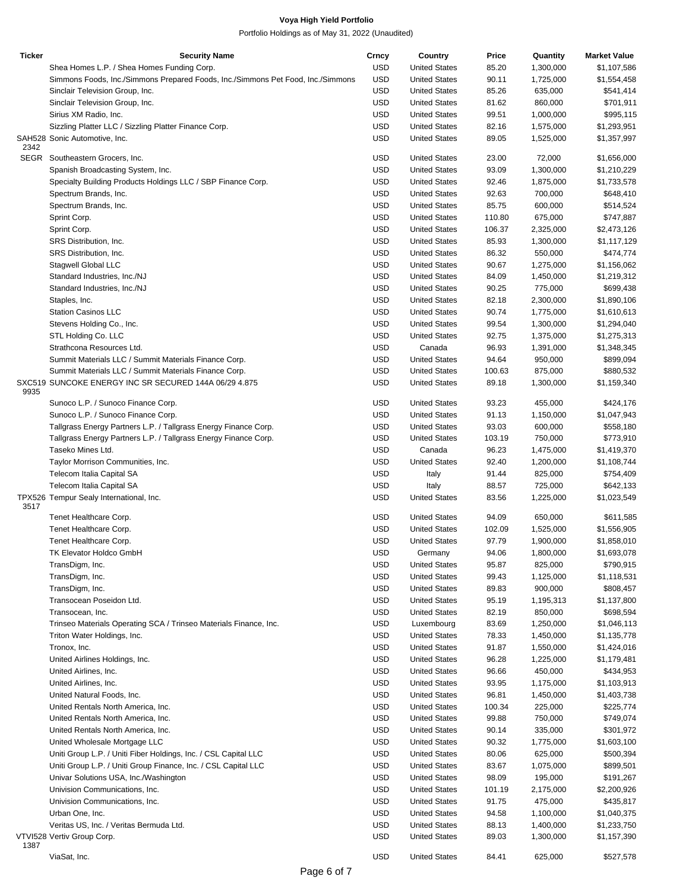| Ticker | <b>Security Name</b>                                                            | Crncy      | Country              | Price  | Quantity  | <b>Market Value</b> |
|--------|---------------------------------------------------------------------------------|------------|----------------------|--------|-----------|---------------------|
|        | Shea Homes L.P. / Shea Homes Funding Corp.                                      | <b>USD</b> | <b>United States</b> | 85.20  | 1,300,000 | \$1,107,586         |
|        | Simmons Foods, Inc./Simmons Prepared Foods, Inc./Simmons Pet Food, Inc./Simmons | <b>USD</b> | <b>United States</b> | 90.11  | 1,725,000 | \$1,554,458         |
|        | Sinclair Television Group, Inc.                                                 | <b>USD</b> | <b>United States</b> | 85.26  | 635,000   | \$541,414           |
|        | Sinclair Television Group, Inc.                                                 | <b>USD</b> | <b>United States</b> | 81.62  | 860,000   | \$701,911           |
|        | Sirius XM Radio, Inc.                                                           | <b>USD</b> | <b>United States</b> | 99.51  | 1,000,000 | \$995,115           |
|        | Sizzling Platter LLC / Sizzling Platter Finance Corp.                           | <b>USD</b> | <b>United States</b> | 82.16  | 1,575,000 | \$1,293,951         |
|        | SAH528 Sonic Automotive, Inc.                                                   | <b>USD</b> | <b>United States</b> | 89.05  | 1,525,000 | \$1,357,997         |
| 2342   |                                                                                 |            |                      |        |           |                     |
|        | SEGR Southeastern Grocers, Inc.                                                 | <b>USD</b> | <b>United States</b> | 23.00  | 72,000    | \$1,656,000         |
|        | Spanish Broadcasting System, Inc.                                               | <b>USD</b> | <b>United States</b> | 93.09  | 1,300,000 | \$1,210,229         |
|        | Specialty Building Products Holdings LLC / SBP Finance Corp.                    | <b>USD</b> | <b>United States</b> | 92.46  | 1,875,000 | \$1,733,578         |
|        | Spectrum Brands, Inc.                                                           | <b>USD</b> | <b>United States</b> | 92.63  | 700,000   | \$648,410           |
|        | Spectrum Brands, Inc.                                                           | <b>USD</b> | <b>United States</b> | 85.75  | 600,000   | \$514,524           |
|        | Sprint Corp.                                                                    | <b>USD</b> | <b>United States</b> | 110.80 | 675,000   | \$747,887           |
|        | Sprint Corp.                                                                    | <b>USD</b> | <b>United States</b> | 106.37 | 2,325,000 | \$2,473,126         |
|        | SRS Distribution, Inc.                                                          | <b>USD</b> | <b>United States</b> | 85.93  | 1,300,000 | \$1,117,129         |
|        | SRS Distribution, Inc.                                                          | <b>USD</b> | <b>United States</b> | 86.32  | 550,000   | \$474,774           |
|        |                                                                                 |            |                      |        |           |                     |
|        | Stagwell Global LLC                                                             | <b>USD</b> | <b>United States</b> | 90.67  | 1,275,000 | \$1,156,062         |
|        | Standard Industries, Inc./NJ                                                    | <b>USD</b> | <b>United States</b> | 84.09  | 1,450,000 | \$1,219,312         |
|        | Standard Industries, Inc./NJ                                                    | <b>USD</b> | <b>United States</b> | 90.25  | 775,000   | \$699,438           |
|        | Staples, Inc.                                                                   | <b>USD</b> | <b>United States</b> | 82.18  | 2,300,000 | \$1,890,106         |
|        | <b>Station Casinos LLC</b>                                                      | <b>USD</b> | <b>United States</b> | 90.74  | 1,775,000 | \$1,610,613         |
|        | Stevens Holding Co., Inc.                                                       | <b>USD</b> | <b>United States</b> | 99.54  | 1,300,000 | \$1,294,040         |
|        | STL Holding Co. LLC                                                             | <b>USD</b> | <b>United States</b> | 92.75  | 1,375,000 | \$1,275,313         |
|        | Strathcona Resources Ltd.                                                       | <b>USD</b> | Canada               | 96.93  | 1,391,000 | \$1,348,345         |
|        | Summit Materials LLC / Summit Materials Finance Corp.                           | <b>USD</b> | <b>United States</b> | 94.64  | 950,000   | \$899,094           |
|        | Summit Materials LLC / Summit Materials Finance Corp.                           | <b>USD</b> | <b>United States</b> | 100.63 | 875,000   | \$880,532           |
|        | SXC519 SUNCOKE ENERGY INC SR SECURED 144A 06/29 4.875                           | <b>USD</b> | <b>United States</b> | 89.18  | 1,300,000 | \$1,159,340         |
| 9935   |                                                                                 |            |                      |        |           |                     |
|        | Sunoco L.P. / Sunoco Finance Corp.                                              | <b>USD</b> | <b>United States</b> | 93.23  | 455,000   | \$424,176           |
|        | Sunoco L.P. / Sunoco Finance Corp.                                              | <b>USD</b> | <b>United States</b> | 91.13  | 1,150,000 | \$1,047,943         |
|        | Tallgrass Energy Partners L.P. / Tallgrass Energy Finance Corp.                 | <b>USD</b> | <b>United States</b> | 93.03  | 600,000   | \$558,180           |
|        | Tallgrass Energy Partners L.P. / Tallgrass Energy Finance Corp.                 | <b>USD</b> | <b>United States</b> | 103.19 | 750,000   | \$773,910           |
|        | Taseko Mines Ltd.                                                               | <b>USD</b> | Canada               | 96.23  | 1,475,000 | \$1,419,370         |
|        | Taylor Morrison Communities, Inc.                                               | <b>USD</b> | <b>United States</b> | 92.40  | 1,200,000 | \$1,108,744         |
|        | Telecom Italia Capital SA                                                       | <b>USD</b> | Italy                | 91.44  | 825,000   | \$754,409           |
|        | Telecom Italia Capital SA                                                       | <b>USD</b> | Italy                | 88.57  | 725,000   | \$642,133           |
|        | TPX526 Tempur Sealy International, Inc.                                         | <b>USD</b> | <b>United States</b> | 83.56  | 1,225,000 | \$1,023,549         |
| 3517   |                                                                                 |            |                      |        |           |                     |
|        | Tenet Healthcare Corp.                                                          | <b>USD</b> | <b>United States</b> | 94.09  | 650,000   | \$611,585           |
|        | Tenet Healthcare Corp.                                                          | <b>USD</b> | <b>United States</b> | 102.09 | 1,525,000 | \$1,556,905         |
|        | Tenet Healthcare Corp.                                                          | <b>USD</b> | <b>United States</b> | 97.79  | 1,900,000 | \$1,858,010         |
|        | <b>TK Elevator Holdco GmbH</b>                                                  | <b>USD</b> | Germany              | 94.06  | 1,800,000 | \$1,693,078         |
|        | TransDigm, Inc.                                                                 | <b>USD</b> | <b>United States</b> | 95.87  | 825,000   | \$790,915           |
|        | TransDigm, Inc.                                                                 | <b>USD</b> | <b>United States</b> | 99.43  | 1,125,000 | \$1,118,531         |
|        | TransDigm, Inc.                                                                 | <b>USD</b> | <b>United States</b> | 89.83  | 900,000   | \$808,457           |
|        | Transocean Poseidon Ltd.                                                        | <b>USD</b> | <b>United States</b> | 95.19  | 1,195,313 | \$1,137,800         |
|        | Transocean, Inc.                                                                | <b>USD</b> | <b>United States</b> | 82.19  | 850,000   | \$698,594           |
|        | Trinseo Materials Operating SCA / Trinseo Materials Finance, Inc.               | <b>USD</b> |                      |        |           | \$1,046,113         |
|        |                                                                                 |            | Luxembourg           | 83.69  | 1,250,000 |                     |
|        | Triton Water Holdings, Inc.                                                     | <b>USD</b> | <b>United States</b> | 78.33  | 1,450,000 | \$1,135,778         |
|        | Tronox, Inc.                                                                    | <b>USD</b> | <b>United States</b> | 91.87  | 1,550,000 | \$1,424,016         |
|        | United Airlines Holdings, Inc.                                                  | <b>USD</b> | <b>United States</b> | 96.28  | 1,225,000 | \$1,179,481         |
|        | United Airlines, Inc.                                                           | <b>USD</b> | <b>United States</b> | 96.66  | 450,000   | \$434,953           |
|        | United Airlines, Inc.                                                           | <b>USD</b> | <b>United States</b> | 93.95  | 1,175,000 | \$1,103,913         |
|        | United Natural Foods, Inc.                                                      | <b>USD</b> | <b>United States</b> | 96.81  | 1,450,000 | \$1,403,738         |
|        | United Rentals North America, Inc.                                              | <b>USD</b> | <b>United States</b> | 100.34 | 225,000   | \$225,774           |
|        | United Rentals North America, Inc.                                              | <b>USD</b> | <b>United States</b> | 99.88  | 750,000   | \$749,074           |
|        | United Rentals North America, Inc.                                              | <b>USD</b> | <b>United States</b> | 90.14  | 335,000   | \$301,972           |
|        | United Wholesale Mortgage LLC                                                   | <b>USD</b> | <b>United States</b> | 90.32  | 1,775,000 | \$1,603,100         |
|        | Uniti Group L.P. / Uniti Fiber Holdings, Inc. / CSL Capital LLC                 | <b>USD</b> | <b>United States</b> | 80.06  | 625,000   | \$500,394           |
|        | Uniti Group L.P. / Uniti Group Finance, Inc. / CSL Capital LLC                  | <b>USD</b> | <b>United States</b> | 83.67  | 1,075,000 | \$899,501           |
|        | Univar Solutions USA, Inc./Washington                                           | <b>USD</b> | <b>United States</b> | 98.09  | 195,000   | \$191,267           |
|        | Univision Communications, Inc.                                                  | <b>USD</b> | <b>United States</b> | 101.19 | 2,175,000 | \$2,200,926         |
|        | Univision Communications, Inc.                                                  | <b>USD</b> | <b>United States</b> | 91.75  | 475,000   | \$435,817           |
|        | Urban One, Inc.                                                                 | <b>USD</b> | <b>United States</b> | 94.58  | 1,100,000 | \$1,040,375         |
|        | Veritas US, Inc. / Veritas Bermuda Ltd.                                         | <b>USD</b> | <b>United States</b> | 88.13  | 1,400,000 | \$1,233,750         |
|        | VTVI528 Vertiv Group Corp.                                                      | <b>USD</b> | <b>United States</b> | 89.03  | 1,300,000 |                     |
| 1387   |                                                                                 |            |                      |        |           | \$1,157,390         |
|        | ViaSat, Inc.                                                                    | <b>USD</b> | <b>United States</b> | 84.41  | 625,000   | \$527,578           |
|        |                                                                                 |            |                      |        |           |                     |